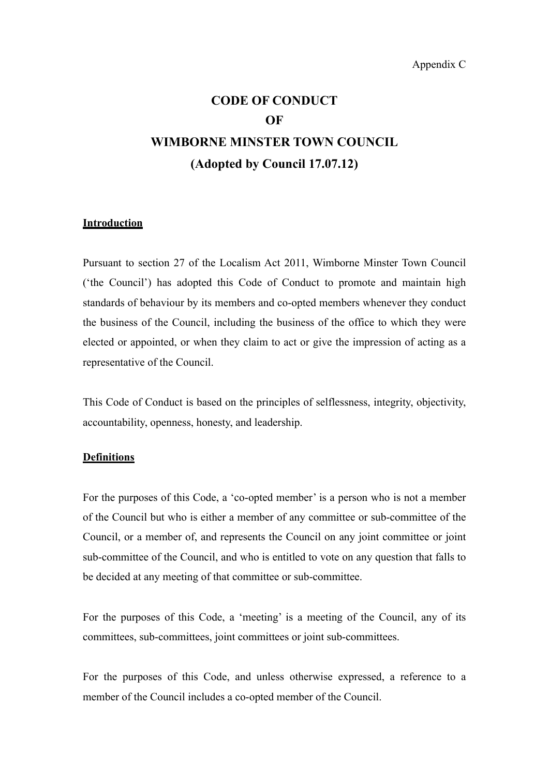# **CODE OF CONDUCT OF WIMBORNE MINSTER TOWN COUNCIL (Adopted by Council 17.07.12)**

## **Introduction**

Pursuant to section 27 of the Localism Act 2011, Wimborne Minster Town Council ('the Council') has adopted this Code of Conduct to promote and maintain high standards of behaviour by its members and co-opted members whenever they conduct the business of the Council, including the business of the office to which they were elected or appointed, or when they claim to act or give the impression of acting as a representative of the Council.

This Code of Conduct is based on the principles of selflessness, integrity, objectivity, accountability, openness, honesty, and leadership.

#### **Definitions**

For the purposes of this Code, a 'co-opted member' is a person who is not a member of the Council but who is either a member of any committee or sub-committee of the Council, or a member of, and represents the Council on any joint committee or joint sub-committee of the Council, and who is entitled to vote on any question that falls to be decided at any meeting of that committee or sub-committee.

For the purposes of this Code, a 'meeting' is a meeting of the Council, any of its committees, sub-committees, joint committees or joint sub-committees.

For the purposes of this Code, and unless otherwise expressed, a reference to a member of the Council includes a co-opted member of the Council.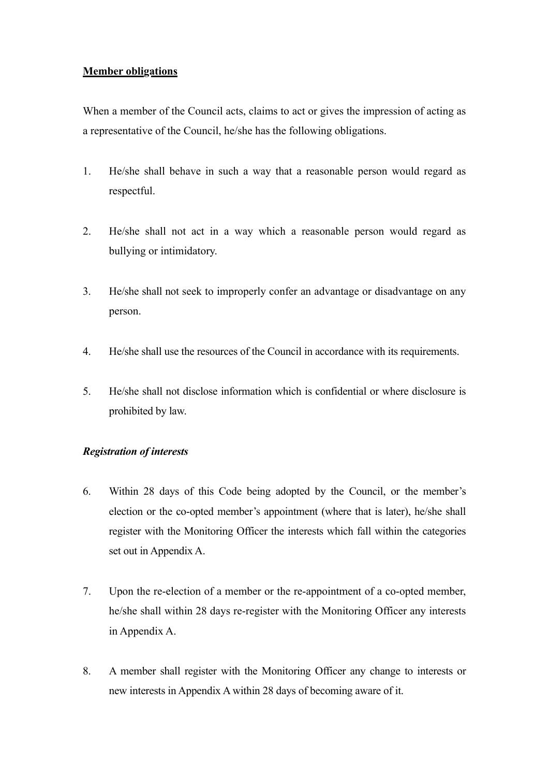# **Member obligations**

When a member of the Council acts, claims to act or gives the impression of acting as a representative of the Council, he/she has the following obligations.

- 1. He/she shall behave in such a way that a reasonable person would regard as respectful.
- 2. He/she shall not act in a way which a reasonable person would regard as bullying or intimidatory.
- 3. He/she shall not seek to improperly confer an advantage or disadvantage on any person.
- 4. He/she shall use the resources of the Council in accordance with its requirements.
- 5. He/she shall not disclose information which is confidential or where disclosure is prohibited by law.

## *Registration of interests*

- 6. Within 28 days of this Code being adopted by the Council, or the member's election or the co-opted member's appointment (where that is later), he/she shall register with the Monitoring Officer the interests which fall within the categories set out in Appendix A.
- 7. Upon the re-election of a member or the re-appointment of a co-opted member, he/she shall within 28 days re-register with the Monitoring Officer any interests in Appendix A.
- 8. A member shall register with the Monitoring Officer any change to interests or new interests in Appendix A within 28 days of becoming aware of it.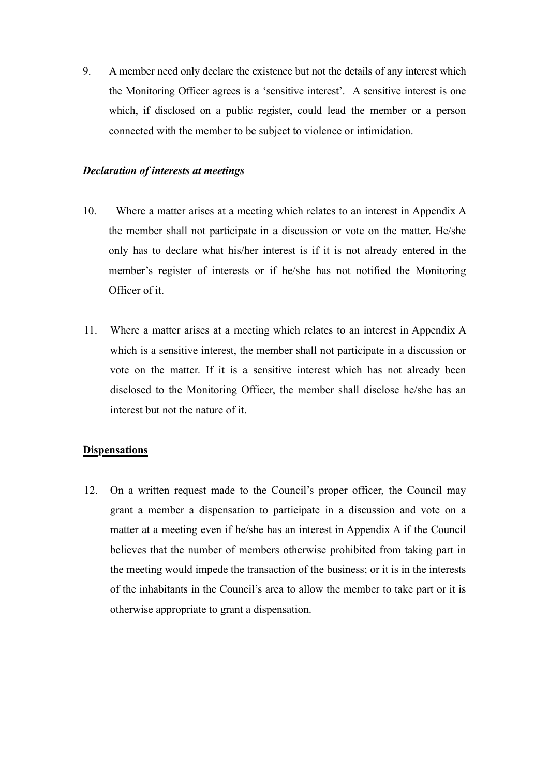9. A member need only declare the existence but not the details of any interest which the Monitoring Officer agrees is a 'sensitive interest'. A sensitive interest is one which, if disclosed on a public register, could lead the member or a person connected with the member to be subject to violence or intimidation.

## *Declaration of interests at meetings*

- 10. Where a matter arises at a meeting which relates to an interest in Appendix A the member shall not participate in a discussion or vote on the matter. He/she only has to declare what his/her interest is if it is not already entered in the member's register of interests or if he/she has not notified the Monitoring Officer of it.
- 11. Where a matter arises at a meeting which relates to an interest in Appendix A which is a sensitive interest, the member shall not participate in a discussion or vote on the matter. If it is a sensitive interest which has not already been disclosed to the Monitoring Officer, the member shall disclose he/she has an interest but not the nature of it.

#### **Dispensations**

12. On a written request made to the Council's proper officer, the Council may grant a member a dispensation to participate in a discussion and vote on a matter at a meeting even if he/she has an interest in Appendix A if the Council believes that the number of members otherwise prohibited from taking part in the meeting would impede the transaction of the business; or it is in the interests of the inhabitants in the Council's area to allow the member to take part or it is otherwise appropriate to grant a dispensation.